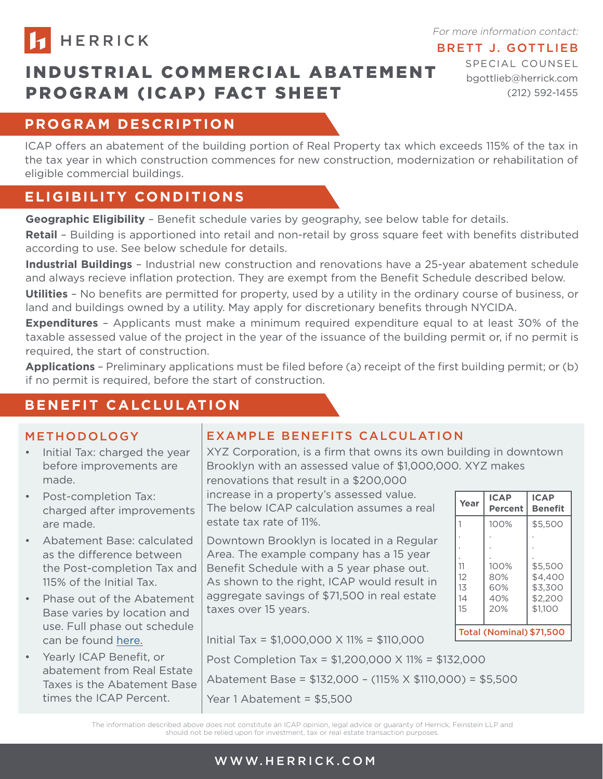

For more information contact:

### BRETT J. GOTTLIEB

# INDUSTRIAL COMMERCIAL ABATEMENT PROGRAM (ICAP) FACT SHEET

SPECIAL COUNSEL bgottlieb@herrick.com (212) 592-1455

# **PROGRAM DESCRIPTION**

ICAP offers an abatement of the building portion of Real Property tax which exceeds 115% of the tax in the tax year in which construction commences for new construction, modernization or rehabilitation of eligible commercial buildings.

## **ELIGIBILITY CONDITIONS**

**Geographic Eligibility** – Benefit schedule varies by geography, see below table for details.

**Retail** – Building is apportioned into retail and non-retail by gross square feet with benefits distributed according to use. See below schedule for details.

**Industrial Buildings** – Industrial new construction and renovations have a 25-year abatement schedule and always recieve inflation protection. They are exempt from the Benefit Schedule described below.

**Utilities** – No benefits are permitted for property, used by a utility in the ordinary course of business, or land and buildings owned by a utility. May apply for discretionary benefits through NYCIDA.

**Expenditures** – Applicants must make a minimum required expenditure equal to at least 30% of the taxable assessed value of the project in the year of the issuance of the building permit or, if no permit is required, the start of construction.

**Applications** – Preliminary applications must be filed before (a) receipt of the first building permit; or (b) if no permit is required, before the start of construction.

## **BENEFIT CALCLULATION**

#### METHODOLOGY

- Initial Tax: charged the year before improvements are made.
- Post-completion Tax: charged after improvements are made.
- Abatement Base: calculated as the difference between the Post-completion Tax and 115% of the Initial Tax.
- Phase out of the Abatement Base varies by location and use. Full phase out schedule can be found [here](https://www1.nyc.gov/assets/finance/downloads/pdf/icap/icap_benefit_schedule.pdf).
- Yearly ICAP Benefit, or abatement from Real Estate Taxes is the Abatement Base times the ICAP Percent.

## EXAMPLE BENEFITS CALCULATION

XYZ Corporation, is a firm that owns its own building in downtown Brooklyn with an assessed value of \$1,000,000. XYZ makes

renovations that result in a \$200,000 increase in a property's assessed value. The below ICAP calculation assumes a real estate tax rate of 11%.

Downtown Brooklyn is located in a Regular Area. The example company has a 15 year Benefit Schedule with a 5 year phase out. As shown to the right, ICAP would result in aggregate savings of \$71,500 in real estate taxes over 15 years.

| Year                            | <b>ICAP</b><br><b>Percent</b>    | <b>ICAP</b><br><b>Benefit</b>                       |  |  |
|---------------------------------|----------------------------------|-----------------------------------------------------|--|--|
|                                 | 100%                             | \$5.500                                             |  |  |
|                                 |                                  |                                                     |  |  |
|                                 |                                  |                                                     |  |  |
| 11<br>12<br>13<br>14<br>15      | 100%<br>80%<br>60%<br>40%<br>20% | \$5.500<br>\$4.400<br>\$3,300<br>\$2,200<br>\$1.100 |  |  |
| <b>Total (Nominal) \$71,500</b> |                                  |                                                     |  |  |

Initial Tax = \$1,000,000 X 11% = \$110,000

Post Completion Tax = \$1,200,000 X 11% = \$132,000

Abatement Base = \$132,000 – (115% X \$110,000) = \$5,500

Year 1 Abatement = \$5,500

The information described above does not constitute an ICAP opinion, legal advice or guaranty of Herrick, Feinstein LLP and should not be relied upon for investment, tax or real estate transaction purposes.

### WWW.HERRICK.COM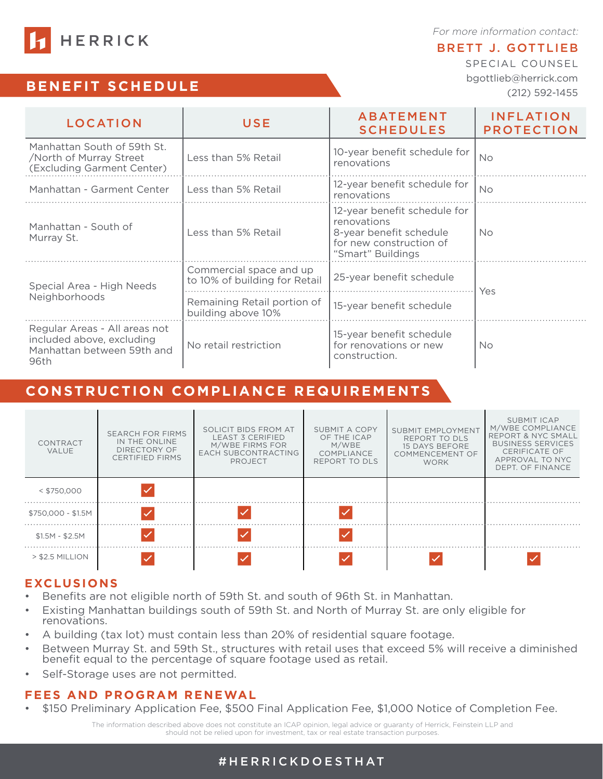For more information contact:

#### BRETT J. GOTTLIEB

SPECIAL COUNSEL bgottlieb@herrick.com (212) 592-1455

| <b>11</b> HERRICK |  |  |  |  |  |
|-------------------|--|--|--|--|--|
|                   |  |  |  |  |  |

### **BENEFIT SCHEDULE**

| LOCATION                                                                                         | USE                                                      | <b>ABATEMENT</b><br><b>SCHEDULES</b>                                                                                   | <b>INFLATION</b><br><b>PROTECTION</b> |  |
|--------------------------------------------------------------------------------------------------|----------------------------------------------------------|------------------------------------------------------------------------------------------------------------------------|---------------------------------------|--|
| Manhattan South of 59th St.<br>/North of Murray Street<br>(Excluding Garment Center)             | Less than 5% Retail                                      | 10-year benefit schedule for<br>renovations                                                                            | <b>No</b>                             |  |
| Manhattan - Garment Center                                                                       | Less than 5% Retail                                      | 12-year benefit schedule for<br>renovations                                                                            | <b>No</b>                             |  |
| Manhattan - South of<br>Murray St.                                                               | Less than 5% Retail                                      | 12-year benefit schedule for<br>renovations<br>8-year benefit schedule<br>for new construction of<br>"Smart" Buildings | No.                                   |  |
| Special Area - High Needs<br>Neighborhoods                                                       | Commercial space and up<br>to 10% of building for Retail | 25-year benefit schedule                                                                                               | Yes                                   |  |
|                                                                                                  | Remaining Retail portion of<br>building above 10%        | 15-year benefit schedule                                                                                               |                                       |  |
| Regular Areas - All areas not<br>included above, excluding<br>Manhattan between 59th and<br>96th | No retail restriction                                    | 15-year benefit schedule<br>for renovations or new<br>construction.                                                    | <b>No</b>                             |  |

### **CONSTRUCTION COMPLIANCE REQUIREMENTS**

| CONTRACT<br>VALUE  | <b>SEARCH FOR FIRMS</b><br>IN THE ONLINE<br>DIRECTORY OF<br><b>CERTIFIED FIRMS</b> | SOLICIT BIDS FROM AT<br><b>LEAST 3 CERIFIED</b><br>M/WBE FIRMS FOR<br><b>EACH SUBCONTRACTING</b><br>PROJECT | SUBMIT A COPY<br>OF THE ICAP<br>M/WBE<br><b>COMPLIANCE</b><br>REPORT TO DLS | <b>SUBMIT EMPLOYMENT</b><br>REPORT TO DLS<br><b>15 DAYS BEFORE</b><br><b>COMMENCEMENT OF</b><br><b>WORK</b> | SUBMIT ICAP<br>M/WBE COMPLIANCE<br><b>REPORT &amp; NYC SMALL</b><br><b>BUSINESS SERVICES</b><br>CERIFICATE OF<br>APPROVAL TO NYC<br>DEPT. OF FINANCE |
|--------------------|------------------------------------------------------------------------------------|-------------------------------------------------------------------------------------------------------------|-----------------------------------------------------------------------------|-------------------------------------------------------------------------------------------------------------|------------------------------------------------------------------------------------------------------------------------------------------------------|
| $<$ \$750,000      |                                                                                    |                                                                                                             |                                                                             |                                                                                                             |                                                                                                                                                      |
| \$750,000 - \$1.5M |                                                                                    |                                                                                                             |                                                                             |                                                                                                             |                                                                                                                                                      |
| $$1.5M - $2.5M$    |                                                                                    |                                                                                                             |                                                                             |                                                                                                             |                                                                                                                                                      |
| $>$ \$2.5 MILLION  |                                                                                    |                                                                                                             |                                                                             |                                                                                                             |                                                                                                                                                      |

#### **EXCLUSIONS**

- Benefits are not eligible north of 59th St. and south of 96th St. in Manhattan.
- Existing Manhattan buildings south of 59th St. and North of Murray St. are only eligible for renovations.
- A building (tax lot) must contain less than 20% of residential square footage.
- Between Murray St. and 59th St., structures with retail uses that exceed 5% will receive a diminished benefit equal to the percentage of square footage used as retail.
- Self-Storage uses are not permitted.

#### **FEES AND PROGRAM RENEWAL**

• \$150 Preliminary Application Fee, \$500 Final Application Fee, \$1,000 Notice of Completion Fee.

The information described above does not constitute an ICAP opinion, legal advice or guaranty of Herrick, Feinstein LLP and should not be relied upon for investment, tax or real estate transaction purposes.

#### #HERRICKDOESTHAT